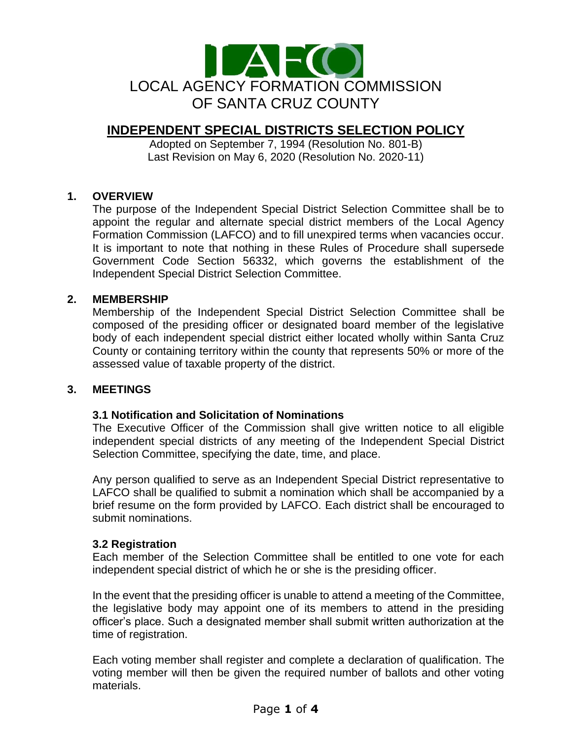

# **INDEPENDENT SPECIAL DISTRICTS SELECTION POLICY**

Adopted on September 7, 1994 (Resolution No. 801-B) Last Revision on May 6, 2020 (Resolution No. 2020-11)

# **1. OVERVIEW**

The purpose of the Independent Special District Selection Committee shall be to appoint the regular and alternate special district members of the Local Agency Formation Commission (LAFCO) and to fill unexpired terms when vacancies occur. It is important to note that nothing in these Rules of Procedure shall supersede Government Code Section 56332, which governs the establishment of the Independent Special District Selection Committee.

# **2. MEMBERSHIP**

Membership of the Independent Special District Selection Committee shall be composed of the presiding officer or designated board member of the legislative body of each independent special district either located wholly within Santa Cruz County or containing territory within the county that represents 50% or more of the assessed value of taxable property of the district.

# **3. MEETINGS**

# **3.1 Notification and Solicitation of Nominations**

The Executive Officer of the Commission shall give written notice to all eligible independent special districts of any meeting of the Independent Special District Selection Committee, specifying the date, time, and place.

Any person qualified to serve as an Independent Special District representative to LAFCO shall be qualified to submit a nomination which shall be accompanied by a brief resume on the form provided by LAFCO. Each district shall be encouraged to submit nominations.

# **3.2 Registration**

Each member of the Selection Committee shall be entitled to one vote for each independent special district of which he or she is the presiding officer.

In the event that the presiding officer is unable to attend a meeting of the Committee, the legislative body may appoint one of its members to attend in the presiding officer's place. Such a designated member shall submit written authorization at the time of registration.

Each voting member shall register and complete a declaration of qualification. The voting member will then be given the required number of ballots and other voting materials.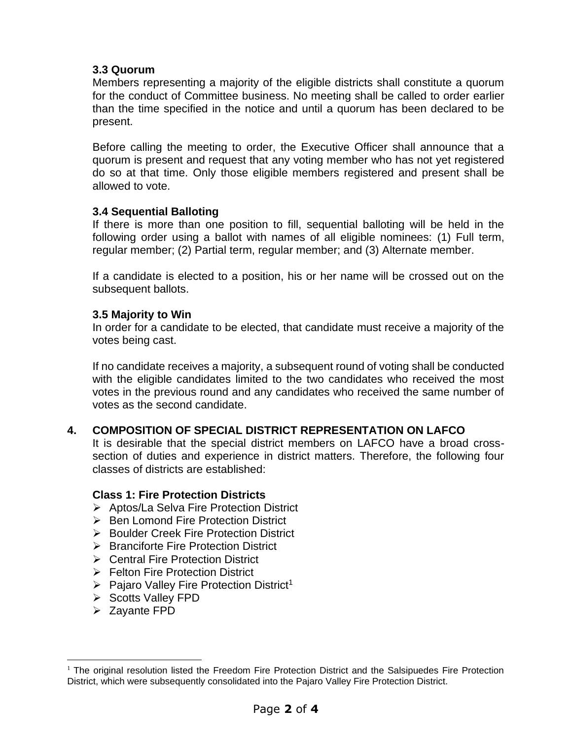# **3.3 Quorum**

Members representing a majority of the eligible districts shall constitute a quorum for the conduct of Committee business. No meeting shall be called to order earlier than the time specified in the notice and until a quorum has been declared to be present.

Before calling the meeting to order, the Executive Officer shall announce that a quorum is present and request that any voting member who has not yet registered do so at that time. Only those eligible members registered and present shall be allowed to vote.

# **3.4 Sequential Balloting**

If there is more than one position to fill, sequential balloting will be held in the following order using a ballot with names of all eligible nominees: (1) Full term, regular member; (2) Partial term, regular member; and (3) Alternate member.

If a candidate is elected to a position, his or her name will be crossed out on the subsequent ballots.

# **3.5 Majority to Win**

In order for a candidate to be elected, that candidate must receive a majority of the votes being cast.

If no candidate receives a majority, a subsequent round of voting shall be conducted with the eligible candidates limited to the two candidates who received the most votes in the previous round and any candidates who received the same number of votes as the second candidate.

# **4. COMPOSITION OF SPECIAL DISTRICT REPRESENTATION ON LAFCO**

It is desirable that the special district members on LAFCO have a broad crosssection of duties and experience in district matters. Therefore, the following four classes of districts are established:

# **Class 1: Fire Protection Districts**

- ➢ Aptos/La Selva Fire Protection District
- ➢ Ben Lomond Fire Protection District
- ➢ Boulder Creek Fire Protection District
- ➢ Branciforte Fire Protection District
- ➢ Central Fire Protection District
- ➢ Felton Fire Protection District
- $\triangleright$  Pajaro Valley Fire Protection District<sup>1</sup>
- ➢ Scotts Valley FPD
- ➢ Zayante FPD

<sup>&</sup>lt;sup>1</sup> The original resolution listed the Freedom Fire Protection District and the Salsipuedes Fire Protection District, which were subsequently consolidated into the Pajaro Valley Fire Protection District.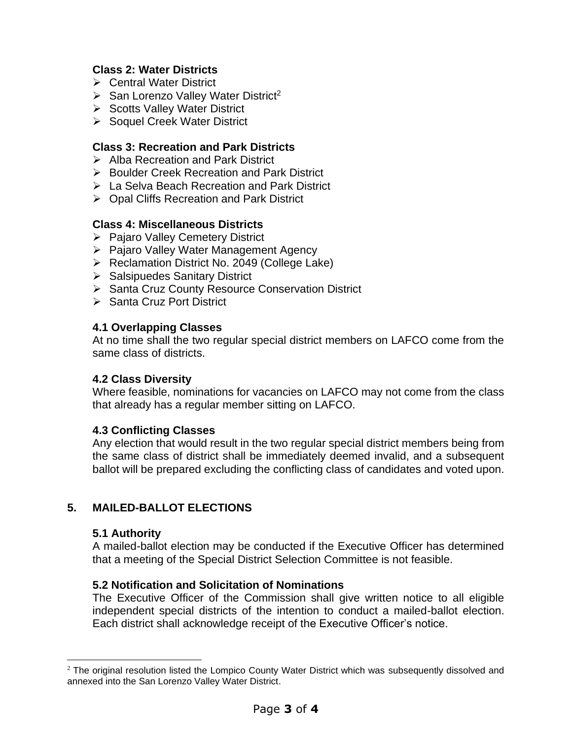# **Class 2: Water Districts**

- ➢ Central Water District
- $\triangleright$  San Lorenzo Valley Water District<sup>2</sup>
- ➢ Scotts Valley Water District
- ➢ Soquel Creek Water District

# **Class 3: Recreation and Park Districts**

- ➢ Alba Recreation and Park District
- ➢ Boulder Creek Recreation and Park District
- ➢ La Selva Beach Recreation and Park District
- ➢ Opal Cliffs Recreation and Park District

#### **Class 4: Miscellaneous Districts**

- ➢ Pajaro Valley Cemetery District
- ➢ Pajaro Valley Water Management Agency
- ➢ Reclamation District No. 2049 (College Lake)
- ➢ Salsipuedes Sanitary District
- ➢ Santa Cruz County Resource Conservation District
- ➢ Santa Cruz Port District

#### **4.1 Overlapping Classes**

At no time shall the two regular special district members on LAFCO come from the same class of districts.

# **4.2 Class Diversity**

Where feasible, nominations for vacancies on LAFCO may not come from the class that already has a regular member sitting on LAFCO.

#### **4.3 Conflicting Classes**

Any election that would result in the two regular special district members being from the same class of district shall be immediately deemed invalid, and a subsequent ballot will be prepared excluding the conflicting class of candidates and voted upon.

# **5. MAILED-BALLOT ELECTIONS**

#### **5.1 Authority**

A mailed-ballot election may be conducted if the Executive Officer has determined that a meeting of the Special District Selection Committee is not feasible.

# **5.2 Notification and Solicitation of Nominations**

The Executive Officer of the Commission shall give written notice to all eligible independent special districts of the intention to conduct a mailed-ballot election. Each district shall acknowledge receipt of the Executive Officer's notice.

 $2$  The original resolution listed the Lompico County Water District which was subsequently dissolved and annexed into the San Lorenzo Valley Water District.